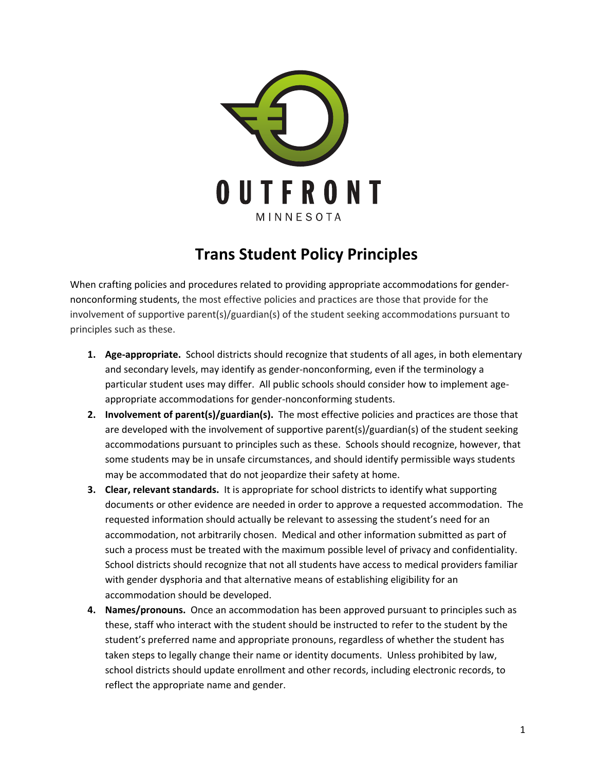

## **Trans Student Policy Principles**

When crafting policies and procedures related to providing appropriate accommodations for gendernonconforming students, the most effective policies and practices are those that provide for the involvement of supportive parent(s)/guardian(s) of the student seeking accommodations pursuant to principles such as these.

- **1. Age-appropriate.** School districts should recognize that students of all ages, in both elementary and secondary levels, may identify as gender-nonconforming, even if the terminology a particular student uses may differ. All public schools should consider how to implement ageappropriate accommodations for gender-nonconforming students.
- **2. Involvement of parent(s)/guardian(s).** The most effective policies and practices are those that are developed with the involvement of supportive parent(s)/guardian(s) of the student seeking accommodations pursuant to principles such as these. Schools should recognize, however, that some students may be in unsafe circumstances, and should identify permissible ways students may be accommodated that do not jeopardize their safety at home.
- **3. Clear, relevant standards.** It is appropriate for school districts to identify what supporting documents or other evidence are needed in order to approve a requested accommodation. The requested information should actually be relevant to assessing the student's need for an accommodation, not arbitrarily chosen. Medical and other information submitted as part of such a process must be treated with the maximum possible level of privacy and confidentiality. School districts should recognize that not all students have access to medical providers familiar with gender dysphoria and that alternative means of establishing eligibility for an accommodation should be developed.
- 4. Names/pronouns. Once an accommodation has been approved pursuant to principles such as these, staff who interact with the student should be instructed to refer to the student by the student's preferred name and appropriate pronouns, regardless of whether the student has taken steps to legally change their name or identity documents. Unless prohibited by law, school districts should update enrollment and other records, including electronic records, to reflect the appropriate name and gender.